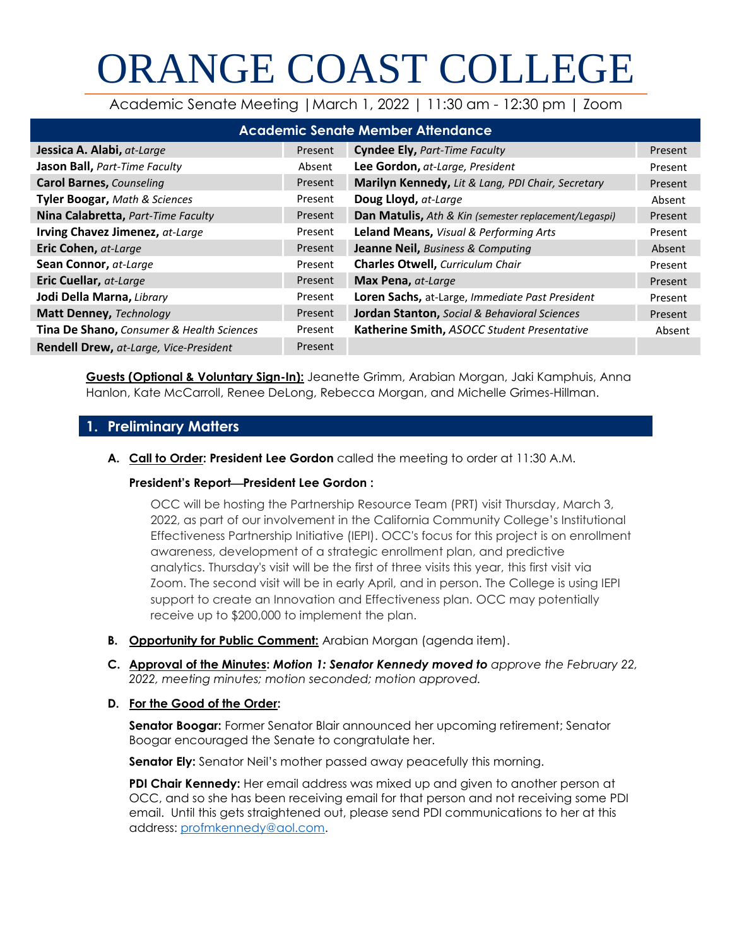# ORANGE COAST COLLEGE

Academic Senate Meeting |March 1, 2022 | 11:30 am - 12:30 pm | Zoom

| <b>Academic Senate Member Attendance</b>      |         |                                                         |         |
|-----------------------------------------------|---------|---------------------------------------------------------|---------|
| Jessica A. Alabi, at-Large                    | Present | <b>Cyndee Ely, Part-Time Faculty</b>                    | Present |
| Jason Ball, Part-Time Faculty                 | Absent  | Lee Gordon, at-Large, President                         | Present |
| <b>Carol Barnes, Counseling</b>               | Present | Marilyn Kennedy, Lit & Lang, PDI Chair, Secretary       | Present |
| <b>Tyler Boogar, Math &amp; Sciences</b>      | Present | Doug Lloyd, at-Large                                    | Absent  |
| Nina Calabretta, Part-Time Faculty            | Present | Dan Matulis, Ath & Kin (semester replacement/Legaspi)   | Present |
| Irving Chavez Jimenez, at-Large               | Present | Leland Means, Visual & Performing Arts                  | Present |
| Eric Cohen, at-Large                          | Present | Jeanne Neil, Business & Computing                       | Absent  |
| Sean Connor, at-Large                         | Present | <b>Charles Otwell, Curriculum Chair</b>                 | Present |
| <b>Eric Cuellar, at-Large</b>                 | Present | Max Pena, at-Large                                      | Present |
| Jodi Della Marna, Library                     | Present | Loren Sachs, at-Large, Immediate Past President         | Present |
| Matt Denney, Technology                       | Present | <b>Jordan Stanton, Social &amp; Behavioral Sciences</b> | Present |
| Tina De Shano, Consumer & Health Sciences     | Present | Katherine Smith, ASOCC Student Presentative             | Absent  |
| <b>Rendell Drew, at-Large, Vice-President</b> | Present |                                                         |         |

**Guests (Optional & Voluntary Sign-In):** Jeanette Grimm, Arabian Morgan, Jaki Kamphuis, Anna Hanlon, Kate McCarroll, Renee DeLong, Rebecca Morgan, and Michelle Grimes-Hillman.

# **1. Preliminary Matters**

**A. Call to Order: President Lee Gordon** called the meeting to order at 11:30 A.M.

# **President's Report**⎯**President Lee Gordon :**

OCC will be hosting the Partnership Resource Team (PRT) visit Thursday, March 3, 2022, as part of our involvement in the California Community College's Institutional Effectiveness Partnership Initiative (IEPI). OCC's focus for this project is on enrollment awareness, development of a strategic enrollment plan, and predictive analytics. Thursday's visit will be the first of three visits this year, this first visit via Zoom. The second visit will be in early April, and in person. The College is using IEPI support to create an Innovation and Effectiveness plan. OCC may potentially receive up to \$200,000 to implement the plan.

- **B. Opportunity for Public Comment:** Arabian Morgan (agenda item).
- **C. Approval of the Minutes:** *Motion 1: Senator Kennedy moved to approve the February 22, 2022, meeting minutes; motion seconded; motion approved.*
- **D. For the Good of the Order:**

**Senator Boogar:** Former Senator Blair announced her upcoming retirement; Senator Boogar encouraged the Senate to congratulate her.

**Senator Ely:** Senator Neil's mother passed away peacefully this morning.

**PDI Chair Kennedy:** Her email address was mixed up and given to another person at OCC, and so she has been receiving email for that person and not receiving some PDI email. Until this gets straightened out, please send PDI communications to her at this address: [profmkennedy@aol.com.](mailto:profmkennedy@aol.com)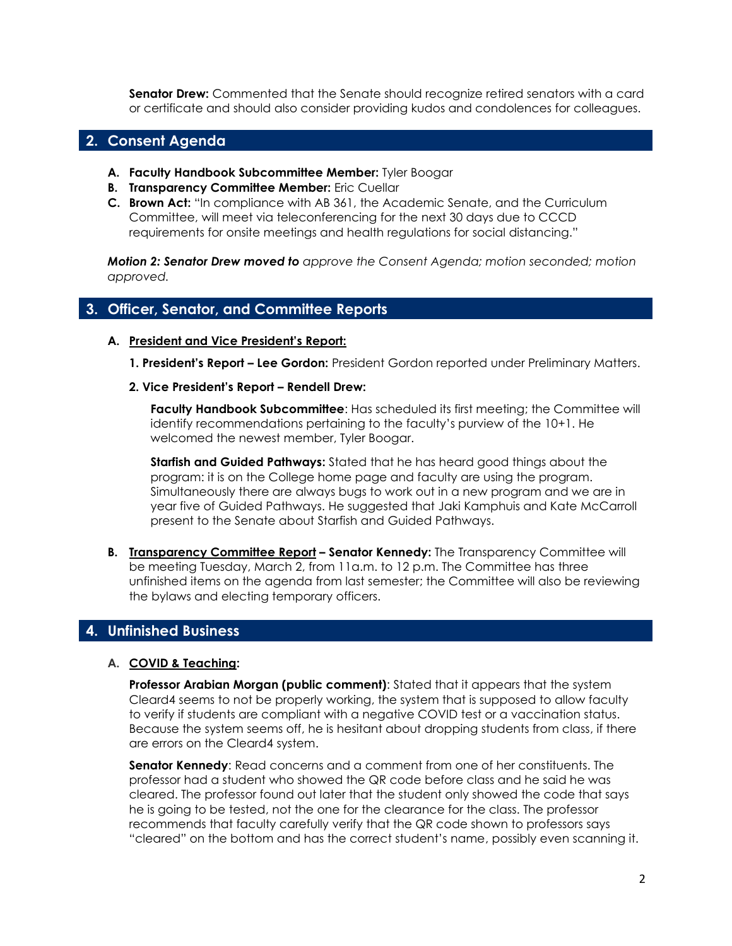**Senator Drew:** Commented that the Senate should recognize retired senators with a card or certificate and should also consider providing kudos and condolences for colleagues.

# **2. Consent Agenda**

- **A. Faculty Handbook Subcommittee Member:** Tyler Boogar
- **B. Transparency Committee Member:** Eric Cuellar
- **C. Brown Act:** "In compliance with AB 361, the Academic Senate, and the Curriculum Committee, will meet via teleconferencing for the next 30 days due to CCCD requirements for onsite meetings and health regulations for social distancing."

*Motion 2: Senator Drew moved to approve the Consent Agenda; motion seconded; motion approved.*

# **3. Officer, Senator, and Committee Reports**

#### **A. President and Vice President's Report:**

- **1. President's Report – Lee Gordon:** President Gordon reported under Preliminary Matters.
- **2. Vice President's Report – Rendell Drew:**

**Faculty Handbook Subcommittee**: Has scheduled its first meeting; the Committee will identify recommendations pertaining to the faculty's purview of the 10+1. He welcomed the newest member, Tyler Boogar.

**Starfish and Guided Pathways:** Stated that he has heard good things about the program: it is on the College home page and faculty are using the program. Simultaneously there are always bugs to work out in a new program and we are in year five of Guided Pathways. He suggested that Jaki Kamphuis and Kate McCarroll present to the Senate about Starfish and Guided Pathways.

**B. Transparency Committee Report – Senator Kennedy:** The Transparency Committee will be meeting Tuesday, March 2, from 11a.m. to 12 p.m. The Committee has three unfinished items on the agenda from last semester; the Committee will also be reviewing the bylaws and electing temporary officers.

# **4. Unfinished Business**

#### **A. COVID & Teaching:**

**Professor Arabian Morgan (public comment)**: Stated that it appears that the system Cleard4 seems to not be properly working, the system that is supposed to allow faculty to verify if students are compliant with a negative COVID test or a vaccination status. Because the system seems off, he is hesitant about dropping students from class, if there are errors on the Cleard4 system.

**Senator Kennedy**: Read concerns and a comment from one of her constituents. The professor had a student who showed the QR code before class and he said he was cleared. The professor found out later that the student only showed the code that says he is going to be tested, not the one for the clearance for the class. The professor recommends that faculty carefully verify that the QR code shown to professors says "cleared" on the bottom and has the correct student's name, possibly even scanning it.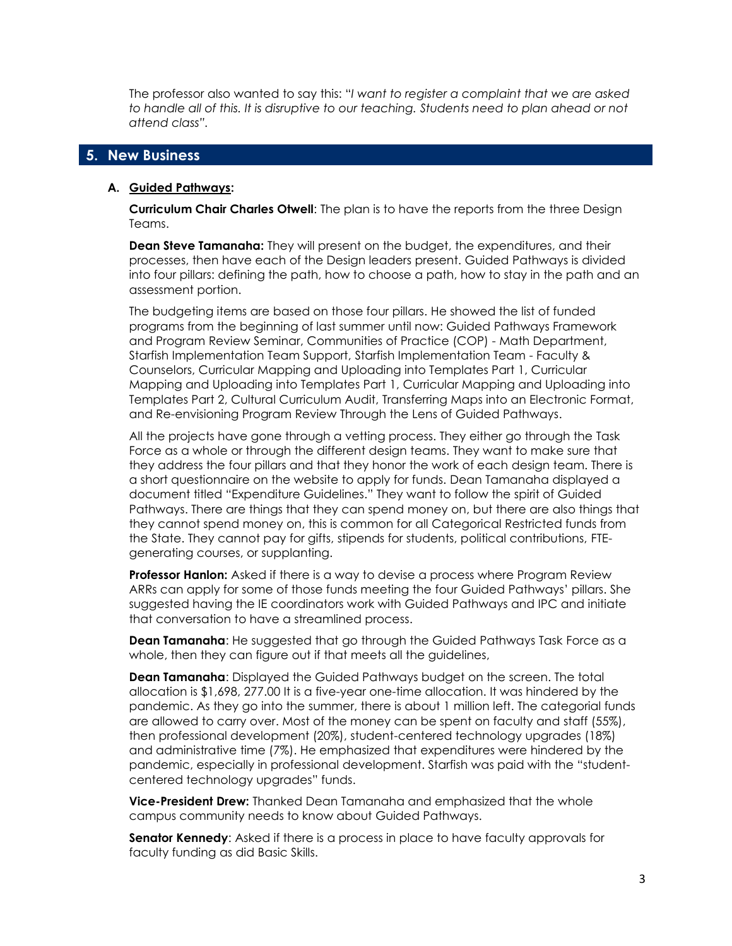The professor also wanted to say this: "*I want to register a complaint that we are asked to handle all of this. It is disruptive to our teaching. Students need to plan ahead or not attend class".*

# **5. New Business**

#### **A. Guided Pathways:**

**Curriculum Chair Charles Otwell**: The plan is to have the reports from the three Design Teams.

**Dean Steve Tamanaha:** They will present on the budget, the expenditures, and their processes, then have each of the Design leaders present. Guided Pathways is divided into four pillars: defining the path, how to choose a path, how to stay in the path and an assessment portion.

The budgeting items are based on those four pillars. He showed the list of funded programs from the beginning of last summer until now: Guided Pathways Framework and Program Review Seminar, Communities of Practice (COP) - Math Department, Starfish Implementation Team Support, Starfish Implementation Team - Faculty & Counselors, Curricular Mapping and Uploading into Templates Part 1, Curricular Mapping and Uploading into Templates Part 1, Curricular Mapping and Uploading into Templates Part 2, Cultural Curriculum Audit, Transferring Maps into an Electronic Format, and Re-envisioning Program Review Through the Lens of Guided Pathways.

All the projects have gone through a vetting process. They either go through the Task Force as a whole or through the different design teams. They want to make sure that they address the four pillars and that they honor the work of each design team. There is a short questionnaire on the website to apply for funds. Dean Tamanaha displayed a document titled "Expenditure Guidelines." They want to follow the spirit of Guided Pathways. There are things that they can spend money on, but there are also things that they cannot spend money on, this is common for all Categorical Restricted funds from the State. They cannot pay for gifts, stipends for students, political contributions, FTEgenerating courses, or supplanting.

**Professor Hanlon:** Asked if there is a way to devise a process where Program Review ARRs can apply for some of those funds meeting the four Guided Pathways' pillars. She suggested having the IE coordinators work with Guided Pathways and IPC and initiate that conversation to have a streamlined process.

**Dean Tamanaha**: He suggested that go through the Guided Pathways Task Force as a whole, then they can figure out if that meets all the guidelines,

**Dean Tamanaha**: Displayed the Guided Pathways budget on the screen. The total allocation is \$1,698, 277.00 It is a five-year one-time allocation. It was hindered by the pandemic. As they go into the summer, there is about 1 million left. The categorial funds are allowed to carry over. Most of the money can be spent on faculty and staff (55%), then professional development (20%), student-centered technology upgrades (18%) and administrative time (7%). He emphasized that expenditures were hindered by the pandemic, especially in professional development. Starfish was paid with the "studentcentered technology upgrades" funds.

**Vice-President Drew:** Thanked Dean Tamanaha and emphasized that the whole campus community needs to know about Guided Pathways.

**Senator Kennedy**: Asked if there is a process in place to have faculty approvals for faculty funding as did Basic Skills.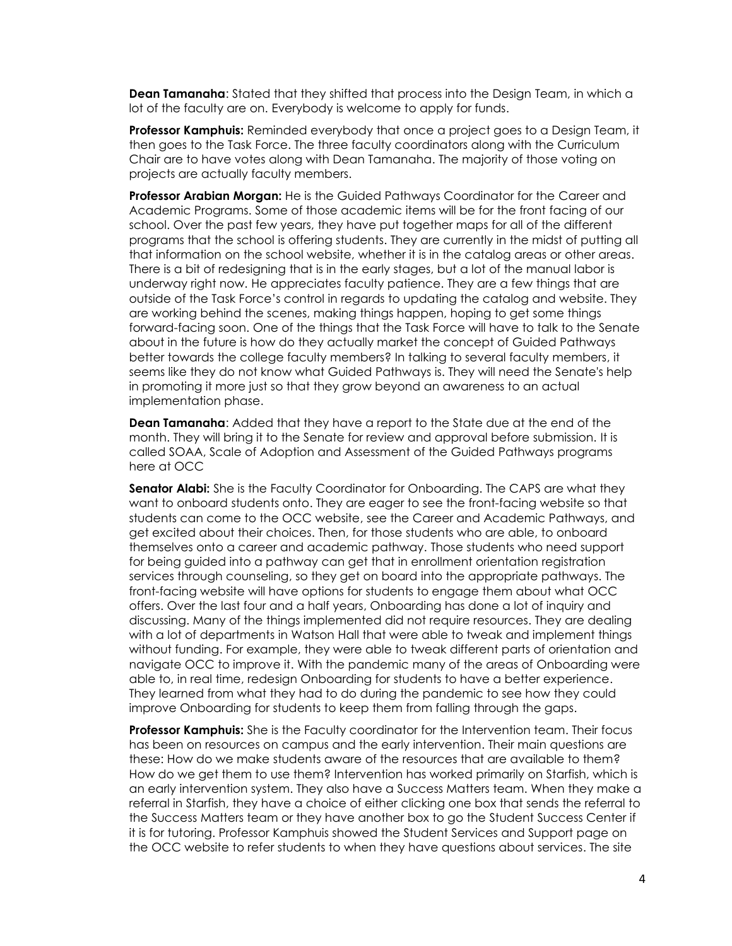**Dean Tamanaha**: Stated that they shifted that process into the Design Team, in which a lot of the faculty are on. Everybody is welcome to apply for funds.

**Professor Kamphuis:** Reminded everybody that once a project goes to a Design Team, it then goes to the Task Force. The three faculty coordinators along with the Curriculum Chair are to have votes along with Dean Tamanaha. The majority of those voting on projects are actually faculty members.

**Professor Arabian Morgan:** He is the Guided Pathways Coordinator for the Career and Academic Programs. Some of those academic items will be for the front facing of our school. Over the past few years, they have put together maps for all of the different programs that the school is offering students. They are currently in the midst of putting all that information on the school website, whether it is in the catalog areas or other areas. There is a bit of redesigning that is in the early stages, but a lot of the manual labor is underway right now. He appreciates faculty patience. They are a few things that are outside of the Task Force's control in regards to updating the catalog and website. They are working behind the scenes, making things happen, hoping to get some things forward-facing soon. One of the things that the Task Force will have to talk to the Senate about in the future is how do they actually market the concept of Guided Pathways better towards the college faculty members? In talking to several faculty members, it seems like they do not know what Guided Pathways is. They will need the Senate's help in promoting it more just so that they grow beyond an awareness to an actual implementation phase.

**Dean Tamanaha**: Added that they have a report to the State due at the end of the month. They will bring it to the Senate for review and approval before submission. It is called SOAA, Scale of Adoption and Assessment of the Guided Pathways programs here at OCC

**Senator Alabi:** She is the Faculty Coordinator for Onboarding. The CAPS are what they want to onboard students onto. They are eager to see the front-facing website so that students can come to the OCC website, see the Career and Academic Pathways, and get excited about their choices. Then, for those students who are able, to onboard themselves onto a career and academic pathway. Those students who need support for being guided into a pathway can get that in enrollment orientation registration services through counseling, so they get on board into the appropriate pathways. The front-facing website will have options for students to engage them about what OCC offers. Over the last four and a half years, Onboarding has done a lot of inquiry and discussing. Many of the things implemented did not require resources. They are dealing with a lot of departments in Watson Hall that were able to tweak and implement things without funding. For example, they were able to tweak different parts of orientation and navigate OCC to improve it. With the pandemic many of the areas of Onboarding were able to, in real time, redesign Onboarding for students to have a better experience. They learned from what they had to do during the pandemic to see how they could improve Onboarding for students to keep them from falling through the gaps.

**Professor Kamphuis:** She is the Faculty coordinator for the Intervention team. Their focus has been on resources on campus and the early intervention. Their main questions are these: How do we make students aware of the resources that are available to them? How do we get them to use them? Intervention has worked primarily on Starfish, which is an early intervention system. They also have a Success Matters team. When they make a referral in Starfish, they have a choice of either clicking one box that sends the referral to the Success Matters team or they have another box to go the Student Success Center if it is for tutoring. Professor Kamphuis showed the Student Services and Support page on the OCC website to refer students to when they have questions about services. The site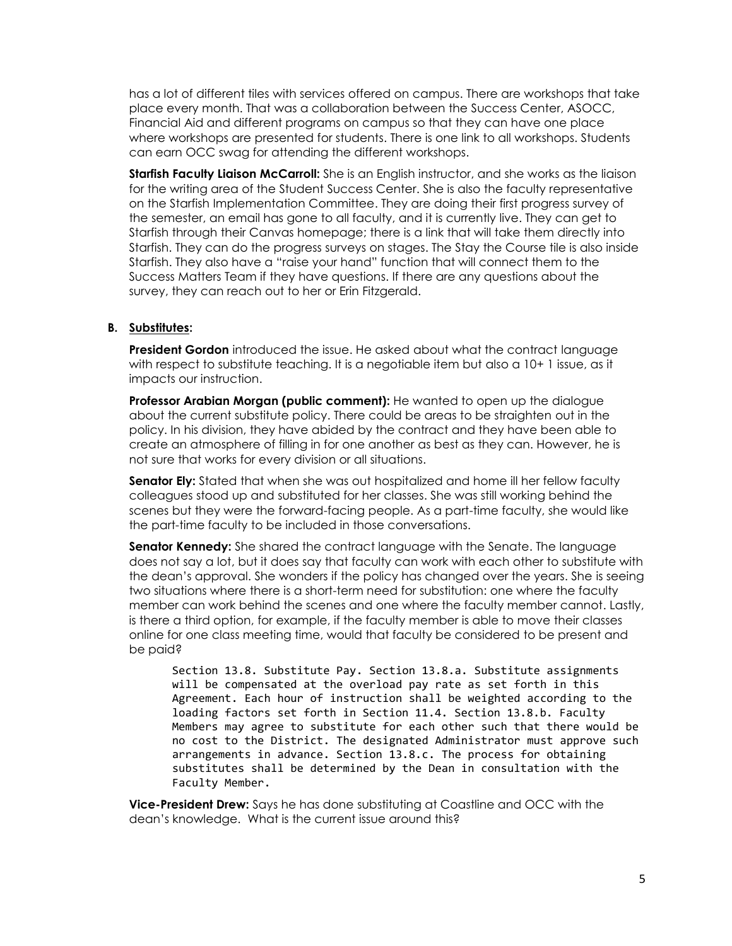has a lot of different tiles with services offered on campus. There are workshops that take place every month. That was a collaboration between the Success Center, ASOCC, Financial Aid and different programs on campus so that they can have one place where workshops are presented for students. There is one link to all workshops. Students can earn OCC swag for attending the different workshops.

**Starfish Faculty Liaison McCarroll:** She is an English instructor, and she works as the liaison for the writing area of the Student Success Center. She is also the faculty representative on the Starfish Implementation Committee. They are doing their first progress survey of the semester, an email has gone to all faculty, and it is currently live. They can get to Starfish through their Canvas homepage; there is a link that will take them directly into Starfish. They can do the progress surveys on stages. The Stay the Course tile is also inside Starfish. They also have a "raise your hand" function that will connect them to the Success Matters Team if they have questions. If there are any questions about the survey, they can reach out to her or Erin Fitzgerald.

#### **B. Substitutes:**

**President Gordon** introduced the issue. He asked about what the contract language with respect to substitute teaching. It is a negotiable item but also a 10+ 1 issue, as it impacts our instruction.

**Professor Arabian Morgan (public comment):** He wanted to open up the dialogue about the current substitute policy. There could be areas to be straighten out in the policy. In his division, they have abided by the contract and they have been able to create an atmosphere of filling in for one another as best as they can. However, he is not sure that works for every division or all situations.

**Senator Ely:** Stated that when she was out hospitalized and home ill her fellow faculty colleagues stood up and substituted for her classes. She was still working behind the scenes but they were the forward-facing people. As a part-time faculty, she would like the part-time faculty to be included in those conversations.

**Senator Kennedy:** She shared the contract language with the Senate. The language does not say a lot, but it does say that faculty can work with each other to substitute with the dean's approval. She wonders if the policy has changed over the years. She is seeing two situations where there is a short-term need for substitution: one where the faculty member can work behind the scenes and one where the faculty member cannot. Lastly, is there a third option, for example, if the faculty member is able to move their classes online for one class meeting time, would that faculty be considered to be present and be paid?

Section 13.8. Substitute Pay. Section 13.8.a. Substitute assignments will be compensated at the overload pay rate as set forth in this Agreement. Each hour of instruction shall be weighted according to the loading factors set forth in Section 11.4. Section 13.8.b. Faculty Members may agree to substitute for each other such that there would be no cost to the District. The designated Administrator must approve such arrangements in advance. Section 13.8.c. The process for obtaining substitutes shall be determined by the Dean in consultation with the Faculty Member.

**Vice-President Drew:** Says he has done substituting at Coastline and OCC with the dean's knowledge. What is the current issue around this?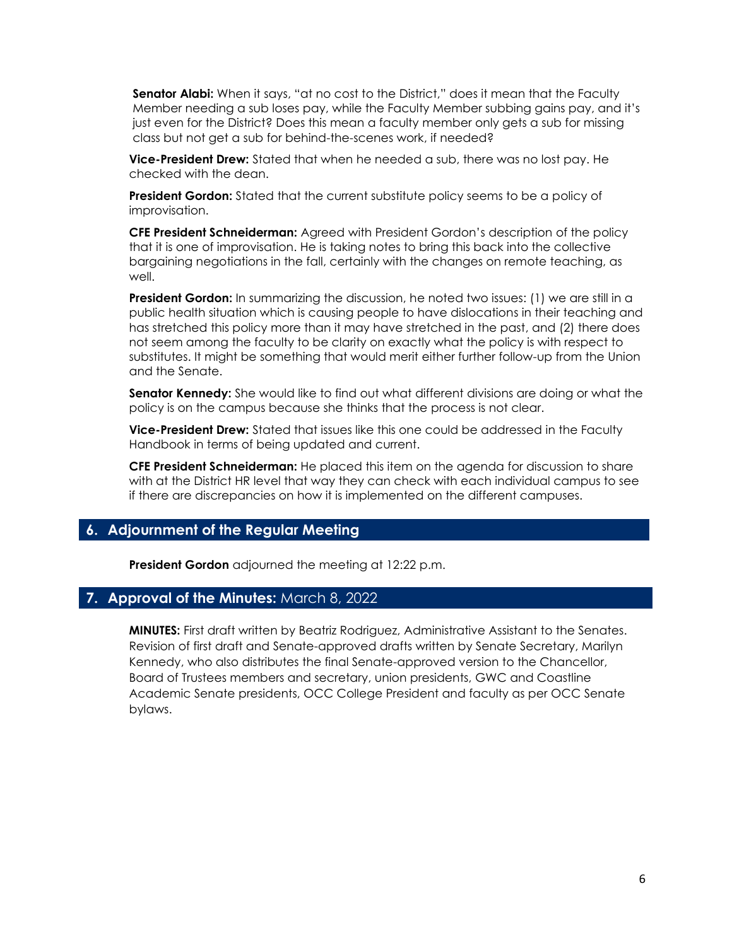**Senator Alabi:** When it says, "at no cost to the District," does it mean that the Faculty Member needing a sub loses pay, while the Faculty Member subbing gains pay, and it's just even for the District? Does this mean a faculty member only gets a sub for missing class but not get a sub for behind-the-scenes work, if needed?

**Vice-President Drew:** Stated that when he needed a sub, there was no lost pay. He checked with the dean.

**President Gordon:** Stated that the current substitute policy seems to be a policy of improvisation.

**CFE President Schneiderman:** Agreed with President Gordon's description of the policy that it is one of improvisation. He is taking notes to bring this back into the collective bargaining negotiations in the fall, certainly with the changes on remote teaching, as well.

**President Gordon:** In summarizing the discussion, he noted two issues: (1) we are still in a public health situation which is causing people to have dislocations in their teaching and has stretched this policy more than it may have stretched in the past, and (2) there does not seem among the faculty to be clarity on exactly what the policy is with respect to substitutes. It might be something that would merit either further follow-up from the Union and the Senate.

**Senator Kennedy:** She would like to find out what different divisions are doing or what the policy is on the campus because she thinks that the process is not clear.

**Vice-President Drew:** Stated that issues like this one could be addressed in the Faculty Handbook in terms of being updated and current.

**CFE President Schneiderman:** He placed this item on the agenda for discussion to share with at the District HR level that way they can check with each individual campus to see if there are discrepancies on how it is implemented on the different campuses.

# **6. Adjournment of the Regular Meeting**

**President Gordon** adjourned the meeting at 12:22 p.m.

#### **7. Approval of the Minutes:** March 8, 2022

**MINUTES:** First draft written by Beatriz Rodriguez, Administrative Assistant to the Senates. Revision of first draft and Senate-approved drafts written by Senate Secretary, Marilyn Kennedy, who also distributes the final Senate-approved version to the Chancellor, Board of Trustees members and secretary, union presidents, GWC and Coastline Academic Senate presidents, OCC College President and faculty as per OCC Senate bylaws.